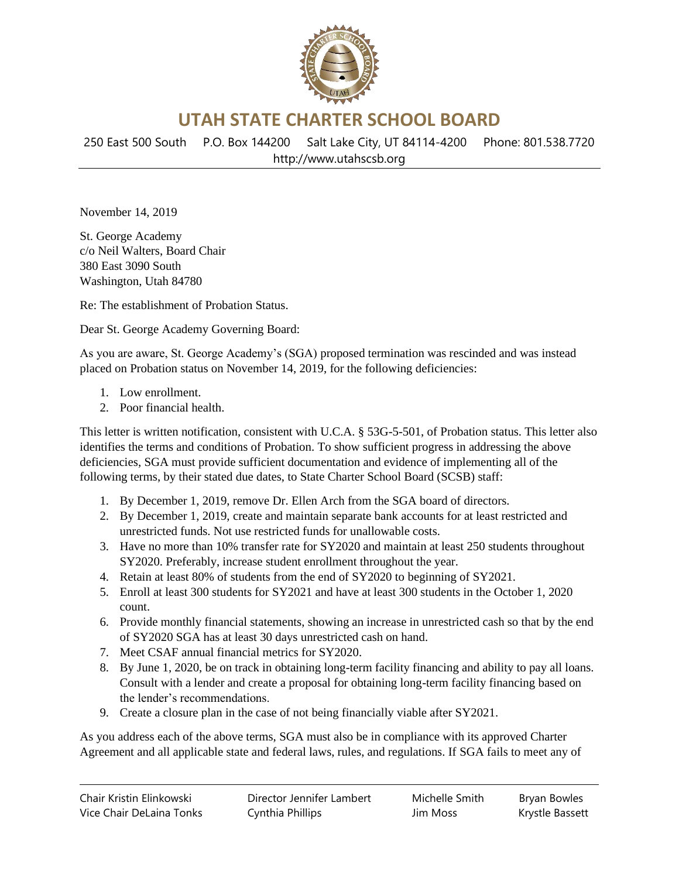

**UTAH STATE CHARTER SCHOOL BOARD**

250 East 500 South P.O. Box 144200 Salt Lake City, UT 84114-4200 Phone: 801.538.7720 http://www.utahscsb.org

November 14, 2019

St. George Academy c/o Neil Walters, Board Chair 380 East 3090 South Washington, Utah 84780

Re: The establishment of Probation Status.

Dear St. George Academy Governing Board:

As you are aware, St. George Academy's (SGA) proposed termination was rescinded and was instead placed on Probation status on November 14, 2019, for the following deficiencies:

- 1. Low enrollment.
- 2. Poor financial health.

This letter is written notification, consistent with U.C.A. § 53G-5-501, of Probation status. This letter also identifies the terms and conditions of Probation. To show sufficient progress in addressing the above deficiencies, SGA must provide sufficient documentation and evidence of implementing all of the following terms, by their stated due dates, to State Charter School Board (SCSB) staff:

- 1. By December 1, 2019, remove Dr. Ellen Arch from the SGA board of directors.
- 2. By December 1, 2019, create and maintain separate bank accounts for at least restricted and unrestricted funds. Not use restricted funds for unallowable costs.
- 3. Have no more than 10% transfer rate for SY2020 and maintain at least 250 students throughout SY2020. Preferably, increase student enrollment throughout the year.
- 4. Retain at least 80% of students from the end of SY2020 to beginning of SY2021.
- 5. Enroll at least 300 students for SY2021 and have at least 300 students in the October 1, 2020 count.
- 6. Provide monthly financial statements, showing an increase in unrestricted cash so that by the end of SY2020 SGA has at least 30 days unrestricted cash on hand.
- 7. Meet CSAF annual financial metrics for SY2020.
- 8. By June 1, 2020, be on track in obtaining long-term facility financing and ability to pay all loans. Consult with a lender and create a proposal for obtaining long-term facility financing based on the lender's recommendations.
- 9. Create a closure plan in the case of not being financially viable after SY2021.

As you address each of the above terms, SGA must also be in compliance with its approved Charter Agreement and all applicable state and federal laws, rules, and regulations. If SGA fails to meet any of